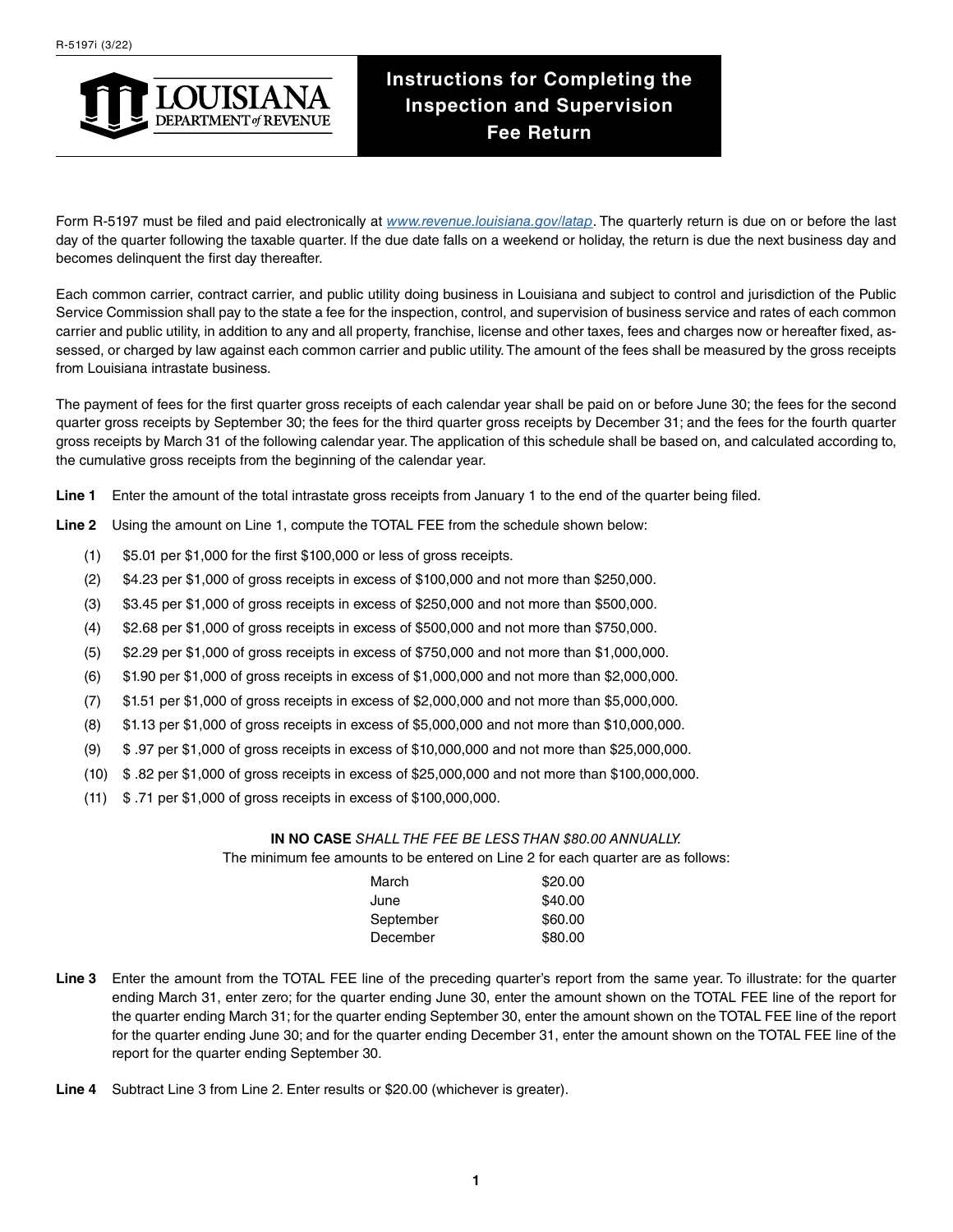

## **Instructions for Completing the Inspection and Supervision Fee Return**

Form R-5197 must be filed and paid electronically at *[www.revenue.louisiana.gov/latap](http://www.revenue.louisiana.gov/latap)*. The quarterly return is due on or before the last day of the quarter following the taxable quarter. If the due date falls on a weekend or holiday, the return is due the next business day and becomes delinquent the first day thereafter.

Each common carrier, contract carrier, and public utility doing business in Louisiana and subject to control and jurisdiction of the Public Service Commission shall pay to the state a fee for the inspection, control, and supervision of business service and rates of each common carrier and public utility, in addition to any and all property, franchise, license and other taxes, fees and charges now or hereafter fixed, assessed, or charged by law against each common carrier and public utility. The amount of the fees shall be measured by the gross receipts from Louisiana intrastate business.

The payment of fees for the first quarter gross receipts of each calendar year shall be paid on or before June 30; the fees for the second quarter gross receipts by September 30; the fees for the third quarter gross receipts by December 31; and the fees for the fourth quarter gross receipts by March 31 of the following calendar year. The application of this schedule shall be based on, and calculated according to, the cumulative gross receipts from the beginning of the calendar year.

**Line 1** Enter the amount of the total intrastate gross receipts from January 1 to the end of the quarter being filed.

**Line 2** Using the amount on Line 1, compute the TOTAL FEE from the schedule shown below:

- (1) \$5.01 per \$1,000 for the first \$100,000 or less of gross receipts.
- (2) \$4.23 per \$1,000 of gross receipts in excess of \$100,000 and not more than \$250,000.
- (3) \$3.45 per \$1,000 of gross receipts in excess of \$250,000 and not more than \$500,000.
- (4) \$2.68 per \$1,000 of gross receipts in excess of \$500,000 and not more than \$750,000.
- (5) \$2.29 per \$1,000 of gross receipts in excess of \$750,000 and not more than \$1,000,000.
- (6) \$1.90 per \$1,000 of gross receipts in excess of \$1,000,000 and not more than \$2,000,000.
- (7) \$1.51 per \$1,000 of gross receipts in excess of \$2,000,000 and not more than \$5,000,000.
- (8) \$1.13 per \$1,000 of gross receipts in excess of \$5,000,000 and not more than \$10,000,000.
- (9) \$ .97 per \$1,000 of gross receipts in excess of \$10,000,000 and not more than \$25,000,000.
- (10) \$ .82 per \$1,000 of gross receipts in excess of \$25,000,000 and not more than \$100,000,000.
- (11) \$ .71 per \$1,000 of gross receipts in excess of \$100,000,000.

## **IN NO CASE** *SHALL THE FEE BE LESS THAN \$80.00 ANNUALLY.*

The minimum fee amounts to be entered on Line 2 for each quarter are as follows:

| \$20.00 |
|---------|
| \$40.00 |
| \$60.00 |
| \$80.00 |
|         |

- **Line 3** Enter the amount from the TOTAL FEE line of the preceding quarter's report from the same year. To illustrate: for the quarter ending March 31, enter zero; for the quarter ending June 30, enter the amount shown on the TOTAL FEE line of the report for the quarter ending March 31; for the quarter ending September 30, enter the amount shown on the TOTAL FEE line of the report for the quarter ending June 30; and for the quarter ending December 31, enter the amount shown on the TOTAL FEE line of the report for the quarter ending September 30.
- **Line 4** Subtract Line 3 from Line 2. Enter results or \$20.00 (whichever is greater).